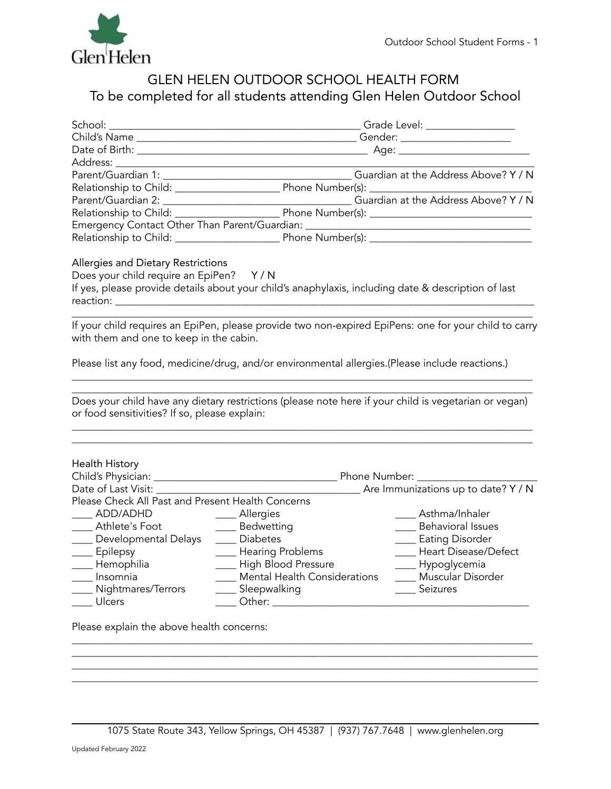

# GLEN HELEN OUTDOOR SCHOOL HEALTH FORM To be completed for all students attending Glen Helen Outdoor School

| Address:                                                                       | <u> 1989 - Johann Stoff, deutscher Stoffen und der Stoffen und der Stoffen und der Stoffen und der Stoffen und der</u> |                           |
|--------------------------------------------------------------------------------|------------------------------------------------------------------------------------------------------------------------|---------------------------|
|                                                                                |                                                                                                                        |                           |
|                                                                                |                                                                                                                        |                           |
|                                                                                |                                                                                                                        |                           |
|                                                                                |                                                                                                                        |                           |
|                                                                                | Emergency Contact Other Than Parent/Guardian: __________________________________                                       |                           |
|                                                                                |                                                                                                                        |                           |
| Allergies and Dietary Restrictions<br>Does your child require an EpiPen? Y/N   | If yes, please provide details about your child's anaphylaxis, including date & description of last                    |                           |
|                                                                                |                                                                                                                        |                           |
| with them and one to keep in the cabin.                                        | If your child requires an EpiPen, please provide two non-expired EpiPens: one for your child to carry                  |                           |
|                                                                                | Please list any food, medicine/drug, and/or environmental allergies.(Please include reactions.)                        |                           |
| or food sensitivities? If so, please explain:                                  | Does your child have any dietary restrictions (please note here if your child is vegetarian or vegan)                  |                           |
| Health History                                                                 |                                                                                                                        |                           |
|                                                                                |                                                                                                                        |                           |
|                                                                                |                                                                                                                        |                           |
| Please Check All Past and Present Health Concerns                              |                                                                                                                        |                           |
| _____ ADD/ADHD _______ Allergies<br>_____ Athlete's Foot ___________ Bedwettii |                                                                                                                        | Asthma/Inhaler            |
|                                                                                | ___ Bedwetting                                                                                                         | ____ Behavioral Issues    |
| ____ Developmental Delays                                                      | ___ Diabetes                                                                                                           | ____ Eating Disorder      |
| ____ Epilepsy                                                                  | ___ Hearing Problems                                                                                                   | ____ Heart Disease/Defect |
| Hemophilia                                                                     | High Blood Pressure                                                                                                    | Hypoglycemia              |
| Insomnia                                                                       | ___ Mental Health Considerations                                                                                       | ____ Muscular Disorder    |
| Nightmares/Terrors                                                             | ___ Sleepwalking                                                                                                       | ____ Seizures             |
| Ulcers                                                                         |                                                                                                                        |                           |
| Please explain the above health concerns:                                      |                                                                                                                        |                           |
|                                                                                |                                                                                                                        |                           |

 $\Box$  . The contribution of the contribution of the contribution of the contribution of the contribution of the contribution of the contribution of the contribution of the contribution of the contribution of the contributi  $\mathcal{L}_\mathcal{L} = \{ \mathcal{L}_\mathcal{L} = \{ \mathcal{L}_\mathcal{L} = \{ \mathcal{L}_\mathcal{L} = \{ \mathcal{L}_\mathcal{L} = \{ \mathcal{L}_\mathcal{L} = \{ \mathcal{L}_\mathcal{L} = \{ \mathcal{L}_\mathcal{L} = \{ \mathcal{L}_\mathcal{L} = \{ \mathcal{L}_\mathcal{L} = \{ \mathcal{L}_\mathcal{L} = \{ \mathcal{L}_\mathcal{L} = \{ \mathcal{L}_\mathcal{L} = \{ \mathcal{L}_\mathcal{L} = \{ \mathcal{L}_\mathcal{$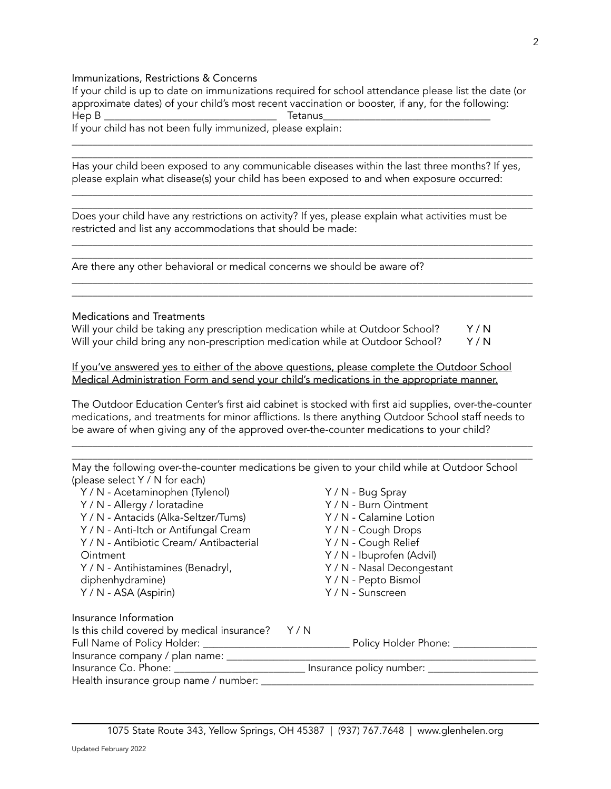### Immunizations, Restrictions & Concerns

If your child is up to date on immunizations required for school attendance please list the date (or approximate dates) of your child's most recent vaccination or booster, if any, for the following: Hep B \_\_\_\_\_\_\_\_\_\_\_\_\_\_\_\_\_\_\_\_\_\_\_\_\_\_\_\_\_\_\_\_\_ Tetanus\_\_\_\_\_\_\_\_\_\_\_\_\_\_\_\_\_\_\_\_\_\_\_\_\_\_\_\_\_\_\_\_ If your child has not been fully immunized, please explain:

 $\overline{\phantom{a}}$  , and the contribution of the contribution of the contribution of the contribution of the contribution of the contribution of the contribution of the contribution of the contribution of the contribution of the  $\Box$ 

Has your child been exposed to any communicable diseases within the last three months? If yes, please explain what disease(s) your child has been exposed to and when exposure occurred:

 $\Box$  $\overline{\phantom{a}}$  , and the contribution of the contribution of the contribution of the contribution of the contribution of the contribution of the contribution of the contribution of the contribution of the contribution of the

 $\overline{\phantom{a}}$  , and the contribution of the contribution of the contribution of the contribution of the contribution of the contribution of the contribution of the contribution of the contribution of the contribution of the  $\overline{\phantom{a}}$  , and the contribution of the contribution of the contribution of the contribution of the contribution of the contribution of the contribution of the contribution of the contribution of the contribution of the

 $\Box$  $\overline{\phantom{a}}$  , and the contribution of the contribution of the contribution of the contribution of the contribution of the contribution of the contribution of the contribution of the contribution of the contribution of the

Does your child have any restrictions on activity? If yes, please explain what activities must be restricted and list any accommodations that should be made:

Are there any other behavioral or medical concerns we should be aware of?

### Medications and Treatments

| Will your child be taking any prescription medication while at Outdoor School? | Y/N |
|--------------------------------------------------------------------------------|-----|
| Will your child bring any non-prescription medication while at Outdoor School? | Y/N |

### If you've answered yes to either of the above questions, please complete the Outdoor School Medical Administration Form and send your child's medications in the appropriate manner.

The Outdoor Education Center's first aid cabinet is stocked with first aid supplies, over-the-counter medications, and treatments for minor afflictions. Is there anything Outdoor School staff needs to be aware of when giving any of the approved over-the-counter medications to your child?

 $\overline{\phantom{a}}$  , and the contribution of the contribution of the contribution of the contribution of the contribution of the contribution of the contribution of the contribution of the contribution of the contribution of the  $\overline{\phantom{a}}$  , and the contribution of the contribution of the contribution of the contribution of the contribution of the contribution of the contribution of the contribution of the contribution of the contribution of the

May the following over-the-counter medications be given to your child while at Outdoor School (please select Y / N for each) Y / N - Acetaminophen (Tylenol) Y / N - Bug Spray

| $\cdots$                                       |                                  |
|------------------------------------------------|----------------------------------|
| Y / N - Allergy / loratadine                   | Y / N - Burn Ointment            |
| Y / N - Antacids (Alka-Seltzer/Tums)           | Y / N - Calamine Lotion          |
| Y / N - Anti-Itch or Antifungal Cream          | Y / N - Cough Drops              |
| Y / N - Antibiotic Cream/ Antibacterial        | Y / N - Cough Relief             |
| Ointment                                       | Y / N - Ibuprofen (Advil)        |
| Y / N - Antihistamines (Benadryl,              | Y / N - Nasal Decongestant       |
| diphenhydramine)                               | Y / N - Pepto Bismol             |
| Y / N - ASA (Aspirin)                          | Y / N - Sunscreen                |
| Insurance Information                          |                                  |
| Is this child covered by medical insurance?    | Y/N                              |
| Full Name of Policy Holder: __________________ | Policy Holder Phone: ________    |
| Insurance company / plan name: ____            |                                  |
|                                                | Insurance policy number: _______ |
| Health insurance group name / number: _        |                                  |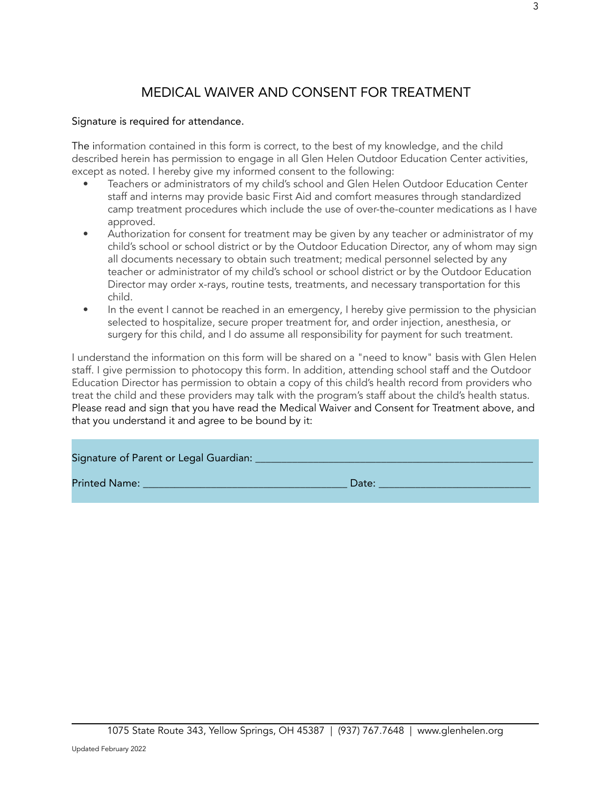# MEDICAL WAIVER AND CONSENT FOR TREATMENT

## Signature is required for attendance.

The information contained in this form is correct, to the best of my knowledge, and the child described herein has permission to engage in all Glen Helen Outdoor Education Center activities, except as noted. I hereby give my informed consent to the following:

- Teachers or administrators of my child's school and Glen Helen Outdoor Education Center staff and interns may provide basic First Aid and comfort measures through standardized camp treatment procedures which include the use of over-the-counter medications as I have approved.
- Authorization for consent for treatment may be given by any teacher or administrator of my child's school or school district or by the Outdoor Education Director, any of whom may sign all documents necessary to obtain such treatment; medical personnel selected by any teacher or administrator of my child's school or school district or by the Outdoor Education Director may order x-rays, routine tests, treatments, and necessary transportation for this child.
- In the event I cannot be reached in an emergency, I hereby give permission to the physician selected to hospitalize, secure proper treatment for, and order injection, anesthesia, or surgery for this child, and I do assume all responsibility for payment for such treatment.

I understand the information on this form will be shared on a "need to know" basis with Glen Helen staff. I give permission to photocopy this form. In addition, attending school staff and the Outdoor Education Director has permission to obtain a copy of this child's health record from providers who treat the child and these providers may talk with the program's staff about the child's health status. Please read and sign that you have read the Medical Waiver and Consent for Treatment above, and that you understand it and agree to be bound by it:

| Signature of Parent or Legal Guardian: |       |
|----------------------------------------|-------|
| <b>Printed Name:</b>                   | Date: |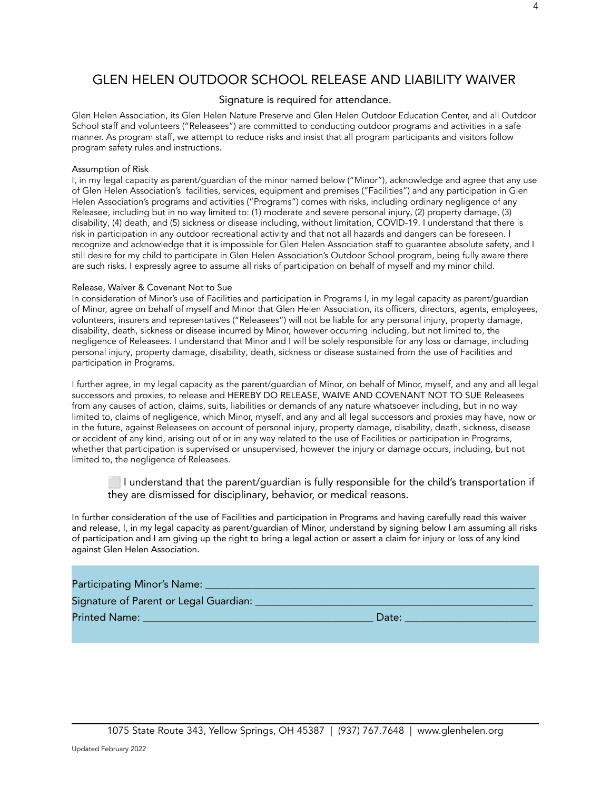# GLEN HELEN OUTDOOR SCHOOL RELEASE AND LIABILITY WAIVER

#### Signature is required for attendance.

Glen Helen Association, its Glen Helen Nature Preserve and Glen Helen Outdoor Education Center, and all Outdoor School staff and volunteers ("Releasees") are committed to conducting outdoor programs and activities in a safe manner. As program staff, we attempt to reduce risks and insist that all program participants and visitors follow program safety rules and instructions.

#### Assumption of Risk

I, in my legal capacity as parent/guardian of the minor named below ("Minor"), acknowledge and agree that any use of Glen Helen Association's facilities, services, equipment and premises ("Facilities") and any participation in Glen Helen Association's programs and activities ("Programs") comes with risks, including ordinary negligence of any Releasee, including but in no way limited to: (1) moderate and severe personal injury, (2) property damage, (3) disability, (4) death, and (5) sickness or disease including, without limitation, COVID-19. I understand that there is risk in participation in any outdoor recreational activity and that not all hazards and dangers can be foreseen. I recognize and acknowledge that it is impossible for Glen Helen Association staff to guarantee absolute safety, and I still desire for my child to participate in Glen Helen Association's Outdoor School program, being fully aware there are such risks. I expressly agree to assume all risks of participation on behalf of myself and my minor child.

#### Release, Waiver & Covenant Not to Sue

In consideration of Minor's use of Facilities and participation in Programs I, in my legal capacity as parent/guardian of Minor, agree on behalf of myself and Minor that Glen Helen Association, its officers, directors, agents, employees, volunteers, insurers and representatives ("Releasees") will not be liable for any personal injury, property damage, disability, death, sickness or disease incurred by Minor, however occurring including, but not limited to, the negligence of Releasees. I understand that Minor and I will be solely responsible for any loss or damage, including personal injury, property damage, disability, death, sickness or disease sustained from the use of Facilities and participation in Programs.

I further agree, in my legal capacity as the parent/guardian of Minor, on behalf of Minor, myself, and any and all legal successors and proxies, to release and HEREBY DO RELEASE, WAIVE AND COVENANT NOT TO SUE Releasees from any causes of action, claims, suits, liabilities or demands of any nature whatsoever including, but in no way limited to, claims of negligence, which Minor, myself, and any and all legal successors and proxies may have, now or in the future, against Releasees on account of personal injury, property damage, disability, death, sickness, disease or accident of any kind, arising out of or in any way related to the use of Facilities or participation in Programs, whether that participation is supervised or unsupervised, however the injury or damage occurs, including, but not limited to, the negligence of Releasees.

**The I understand that the parent/guardian is fully responsible for the child's transportation if** they are dismissed for disciplinary, behavior, or medical reasons.

In further consideration of the use of Facilities and participation in Programs and having carefully read this waiver and release, I, in my legal capacity as parent/guardian of Minor, understand by signing below I am assuming all risks of participation and I am giving up the right to bring a legal action or assert a claim for injury or loss of any kind against Glen Helen Association.

#### Participating Minor's Name:

Signature of Parent or Legal Guardian: \_\_\_\_\_\_\_\_\_\_\_\_\_\_\_\_\_\_\_\_\_\_\_\_\_\_\_\_\_\_\_\_\_\_\_\_\_\_\_\_\_\_\_\_\_\_\_\_\_\_\_\_\_

Printed Name: \_\_\_\_\_\_\_\_\_\_\_\_\_\_\_\_\_\_\_\_\_\_\_\_\_\_\_\_\_\_\_\_\_\_\_\_\_\_\_\_\_\_\_\_ Date: \_\_\_\_\_\_\_\_\_\_\_\_\_\_\_\_\_\_\_\_\_\_\_\_\_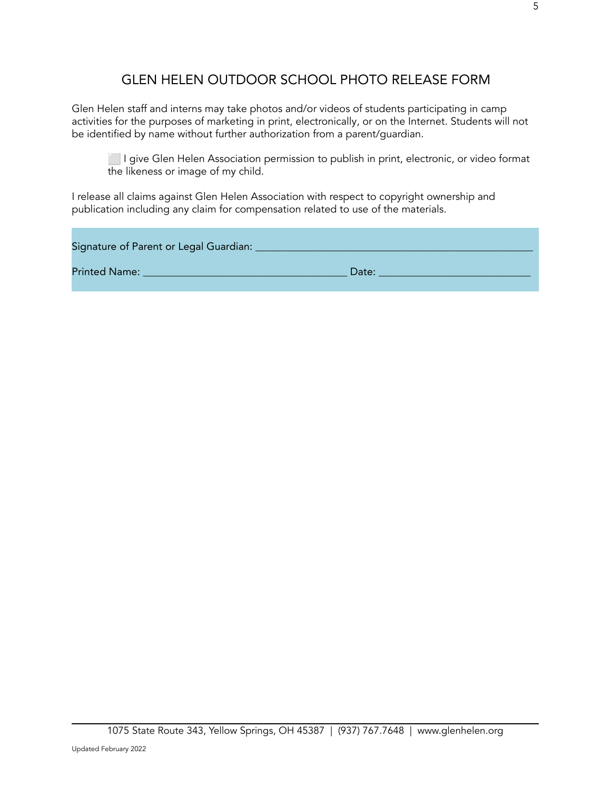# GLEN HELEN OUTDOOR SCHOOL PHOTO RELEASE FORM

Glen Helen staff and interns may take photos and/or videos of students participating in camp activities for the purposes of marketing in print, electronically, or on the Internet. Students will not be identified by name without further authorization from a parent/guardian.

*I give Glen Helen Association permission to publish in print, electronic, or video format* the likeness or image of my child.

I release all claims against Glen Helen Association with respect to copyright ownership and publication including any claim for compensation related to use of the materials.

|                      | Signature of Parent or Legal Guardian: |       |  |
|----------------------|----------------------------------------|-------|--|
| <b>Printed Name:</b> |                                        | Date: |  |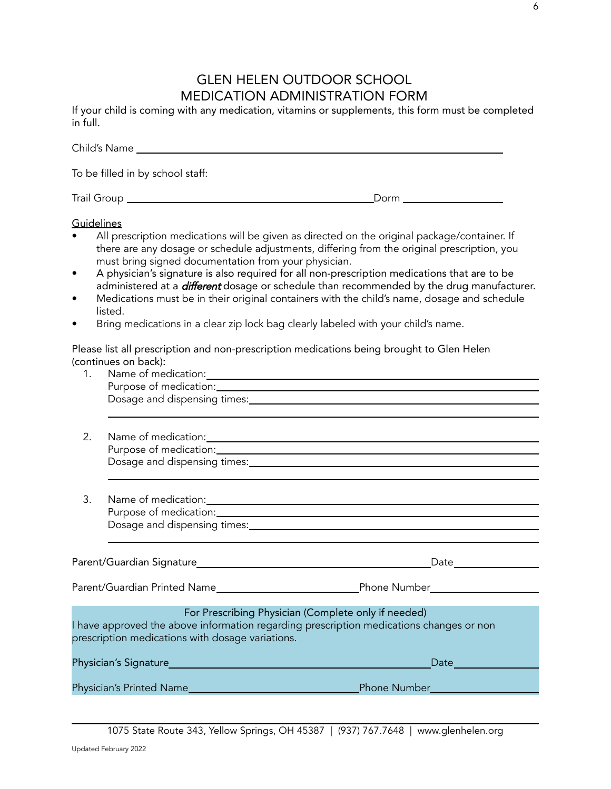# GLEN HELEN OUTDOOR SCHOOL MEDICATION ADMINISTRATION FORM

If your child is coming with any medication, vitamins or supplements, this form must be completed in full.

|                                           | To be filled in by school staff:                                                                                                                                                                                                                                                                                                                                                                                                                                                                                                                   |                                                                                                  |
|-------------------------------------------|----------------------------------------------------------------------------------------------------------------------------------------------------------------------------------------------------------------------------------------------------------------------------------------------------------------------------------------------------------------------------------------------------------------------------------------------------------------------------------------------------------------------------------------------------|--------------------------------------------------------------------------------------------------|
|                                           |                                                                                                                                                                                                                                                                                                                                                                                                                                                                                                                                                    |                                                                                                  |
| Guidelines<br>$\bullet$<br>٠<br>$\bullet$ | All prescription medications will be given as directed on the original package/container. If<br>there are any dosage or schedule adjustments, differing from the original prescription, you<br>must bring signed documentation from your physician.<br>A physician's signature is also required for all non-prescription medications that are to be<br>Medications must be in their original containers with the child's name, dosage and schedule<br>listed.<br>Bring medications in a clear zip lock bag clearly labeled with your child's name. | administered at a <i>different</i> dosage or schedule than recommended by the drug manufacturer. |
| 1.                                        | Please list all prescription and non-prescription medications being brought to Glen Helen<br>(continues on back):                                                                                                                                                                                                                                                                                                                                                                                                                                  |                                                                                                  |
| 2.                                        |                                                                                                                                                                                                                                                                                                                                                                                                                                                                                                                                                    | Dosage and dispensing times: Dosage and dispensing times:                                        |
| 3.                                        |                                                                                                                                                                                                                                                                                                                                                                                                                                                                                                                                                    |                                                                                                  |
|                                           |                                                                                                                                                                                                                                                                                                                                                                                                                                                                                                                                                    |                                                                                                  |
|                                           |                                                                                                                                                                                                                                                                                                                                                                                                                                                                                                                                                    |                                                                                                  |
|                                           | For Prescribing Physician (Complete only if needed)<br>I have approved the above information regarding prescription medications changes or non<br>prescription medications with dosage variations.                                                                                                                                                                                                                                                                                                                                                 |                                                                                                  |
|                                           |                                                                                                                                                                                                                                                                                                                                                                                                                                                                                                                                                    | Date                                                                                             |
|                                           | Physician's Printed Name                                                                                                                                                                                                                                                                                                                                                                                                                                                                                                                           | <b>Phone Number Advisory Phone Number</b>                                                        |

1075 State Route 343, Yellow Springs, OH 45387 | (937) 767.7648 | www.glenhelen.org